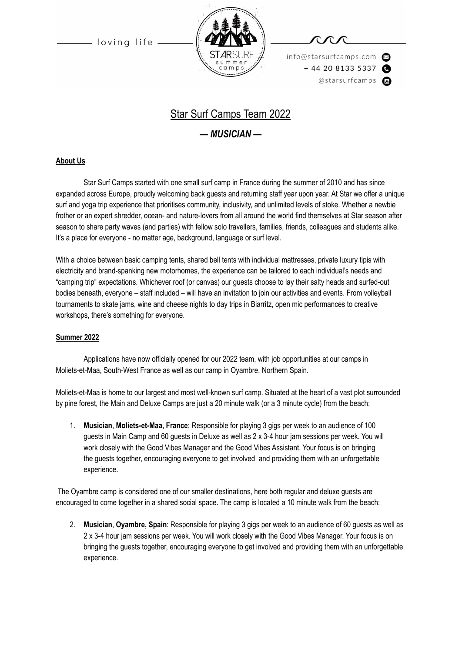

info@starsurfcamps.com  $+442081335337$ @starsurfcamps @

# Star Surf Camps Team 2022

### *— MUSICIAN —*

#### **About Us**

Star Surf Camps started with one small surf camp in France during the summer of 2010 and has since expanded across Europe, proudly welcoming back guests and returning staff year upon year. At Star we offer a unique surf and yoga trip experience that prioritises community, inclusivity, and unlimited levels of stoke. Whether a newbie frother or an expert shredder, ocean- and nature-lovers from all around the world find themselves at Star season after season to share party waves (and parties) with fellow solo travellers, families, friends, colleagues and students alike. It's a place for everyone - no matter age, background, language or surf level.

With a choice between basic camping tents, shared bell tents with individual mattresses, private luxury tipis with electricity and brand-spanking new motorhomes, the experience can be tailored to each individual's needs and "camping trip" expectations. Whichever roof (or canvas) our guests choose to lay their salty heads and surfed-out bodies beneath, everyone – staff included – will have an invitation to join our activities and events. From volleyball tournaments to skate jams, wine and cheese nights to day trips in Biarritz, open mic performances to creative workshops, there's something for everyone.

#### **Summer 2022**

Applications have now officially opened for our 2022 team, with job opportunities at our camps in Moliets-et-Maa, South-West France as well as our camp in Oyambre, Northern Spain.

Moliets-et-Maa is home to our largest and most well-known surf camp. Situated at the heart of a vast plot surrounded by pine forest, the Main and Deluxe Camps are just a 20 minute walk (or a 3 minute cycle) from the beach:

1. **Musician**, **Moliets-et-Maa, France**: Responsible for playing 3 gigs per week to an audience of 100 guests in Main Camp and 60 guests in Deluxe as well as 2 x 3-4 hour jam sessions per week. You will work closely with the Good Vibes Manager and the Good Vibes Assistant. Your focus is on bringing the guests together, encouraging everyone to get involved and providing them with an unforgettable experience.

The Oyambre camp is considered one of our smaller destinations, here both regular and deluxe guests are encouraged to come together in a shared social space. The camp is located a 10 minute walk from the beach:

2. **Musician**, **Oyambre, Spain**: Responsible for playing 3 gigs per week to an audience of 60 guests as well as 2 x 3-4 hour jam sessions per week. You will work closely with the Good Vibes Manager. Your focus is on bringing the guests together, encouraging everyone to get involved and providing them with an unforgettable experience.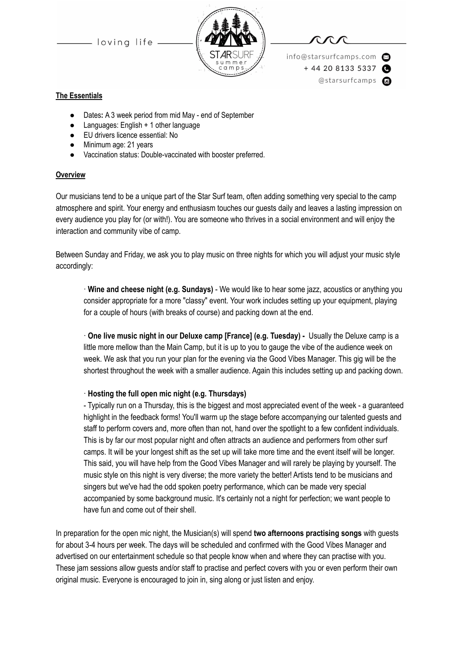

info@starsurfcamps.com  $+442081335337$ @starsurfcamps @

#### **The Essentials**

- Dates: A 3 week period from mid May end of September
- Languages: English + 1 other language
- EU drivers licence essential: No
- Minimum age: 21 years
- Vaccination status: Double-vaccinated with booster preferred.

#### **Overview**

Our musicians tend to be a unique part of the Star Surf team, often adding something very special to the camp atmosphere and spirit. Your energy and enthusiasm touches our guests daily and leaves a lasting impression on every audience you play for (or with!). You are someone who thrives in a social environment and will enjoy the interaction and community vibe of camp.

Between Sunday and Friday, we ask you to play music on three nights for which you will adjust your music style accordingly:

· **Wine and cheese night (e.g. Sundays)** - We would like to hear some jazz, acoustics or anything you consider appropriate for a more "classy" event. Your work includes setting up your equipment, playing for a couple of hours (with breaks of course) and packing down at the end.

· **One live music night in our Deluxe camp [France] (e.g. Tuesday) -** Usually the Deluxe camp is a little more mellow than the Main Camp, but it is up to you to gauge the vibe of the audience week on week. We ask that you run your plan for the evening via the Good Vibes Manager. This gig will be the shortest throughout the week with a smaller audience. Again this includes setting up and packing down.

#### · **Hosting the full open mic night (e.g. Thursdays)**

- Typically run on a Thursday, this is the biggest and most appreciated event of the week - a guaranteed highlight in the feedback forms! You'll warm up the stage before accompanying our talented guests and staff to perform covers and, more often than not, hand over the spotlight to a few confident individuals. This is by far our most popular night and often attracts an audience and performers from other surf camps. It will be your longest shift as the set up will take more time and the event itself will be longer. This said, you will have help from the Good Vibes Manager and will rarely be playing by yourself. The music style on this night is very diverse; the more variety the better! Artists tend to be musicians and singers but we've had the odd spoken poetry performance, which can be made very special accompanied by some background music. It's certainly not a night for perfection; we want people to have fun and come out of their shell.

In preparation for the open mic night, the Musician(s) will spend **two afternoons practising songs** with guests for about 3-4 hours per week. The days will be scheduled and confirmed with the Good Vibes Manager and advertised on our entertainment schedule so that people know when and where they can practise with you. These jam sessions allow guests and/or staff to practise and perfect covers with you or even perform their own original music. Everyone is encouraged to join in, sing along or just listen and enjoy.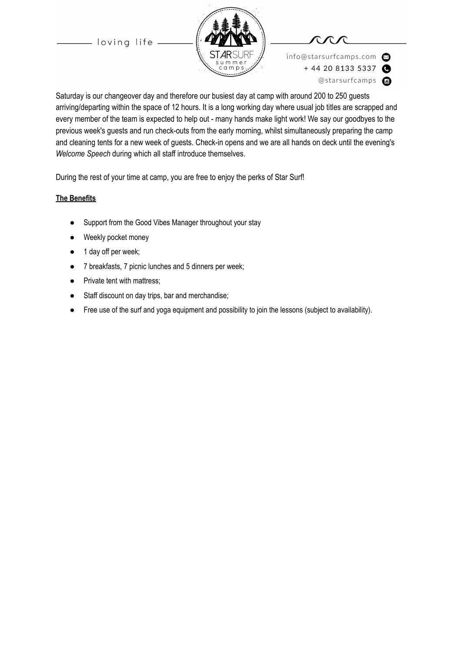



info@starsurfcamps.com  $+442081335337$ @starsurfcamps c

Saturday is our changeover day and therefore our busiest day at camp with around 200 to 250 guests arriving/departing within the space of 12 hours. It is a long working day where usual job titles are scrapped and every member of the team is expected to help out - many hands make light work! We say our goodbyes to the previous week's guests and run check-outs from the early morning, whilst simultaneously preparing the camp and cleaning tents for a new week of guests. Check-in opens and we are all hands on deck until the evening's *Welcome Speech* during which all staff introduce themselves.

During the rest of your time at camp, you are free to enjoy the perks of Star Surf!

#### **The Benefits**

- Support from the Good Vibes Manager throughout your stay
- Weekly pocket money
- 1 day off per week;
- 7 breakfasts, 7 picnic lunches and 5 dinners per week;
- Private tent with mattress;
- Staff discount on day trips, bar and merchandise;
- Free use of the surf and yoga equipment and possibility to join the lessons (subject to availability).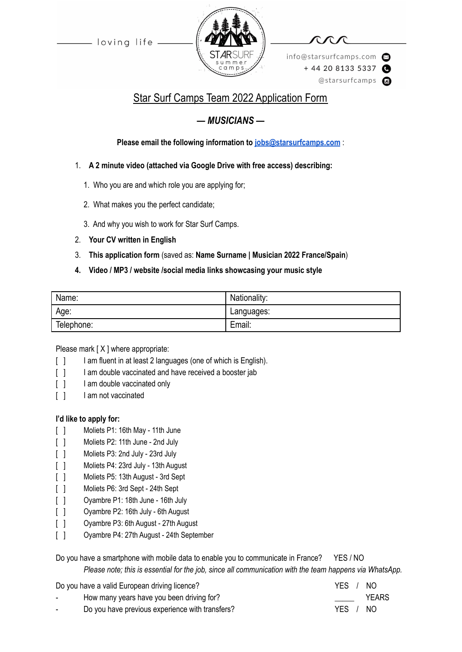

info@starsurfcamps.com  $+442081335337$ @starsurfcamps @

# Star Surf Camps Team 2022 Application Form

## *— MUSICIANS —*

**Please email the following information to [jobs@starsurfcamps.com](mailto:jobs@starsurfcamps.com)** :

- 1. **A 2 minute video (attached via Google Drive with free access) describing:**
	- 1️. Who you are and which role you are applying for;
	- 2. What makes you the perfect candidate;
	- 3️. And why you wish to work for Star Surf Camps.
- 2. **Your CV written in English**
- 3. **This application form** (saved as: **Name Surname | Musician 2022 France/Spain**)
- **4. Video / MP3 / website /social media links showcasing your music style**

| Name:      | Nationality: |
|------------|--------------|
| Age:       | Languages:   |
| Telephone: | Email:       |

Please mark [X ] where appropriate:

- [ ] I am fluent in at least 2 languages (one of which is English).
- [ ] I am double vaccinated and have received a booster jab
- [ ] I am double vaccinated only
- [ ] I am not vaccinated

## **I'd like to apply for:**

- [ ] Moliets P1: 16th May 11th June
- [ ] Moliets P2: 11th June 2nd July
- [ ] Moliets P3: 2nd July 23rd July
- [ ] Moliets P4: 23rd July 13th August
- [ ] Moliets P5: 13th August 3rd Sept
- [ ] Moliets P6: 3rd Sept 24th Sept
- [ ] Oyambre P1: 18th June 16th July
- [ ] Oyambre P2: 16th July 6th August
- [ ] Ovambre P3: 6th August 27th August
- [ ] Oyambre P4: 27th August 24th September

Do you have a smartphone with mobile data to enable you to communicate in France? YES / NO *Please note; this is essential for the job, since all communication with the team happens via WhatsApp.*

Do you have a valid European driving licence?<br>
YES / NO

| licence?              | YES / NO |              |
|-----------------------|----------|--------------|
| een driving for?      |          | <b>YEARS</b> |
| ence with transfers?_ | YES / NO |              |

How many years have you be Do you have previous experie